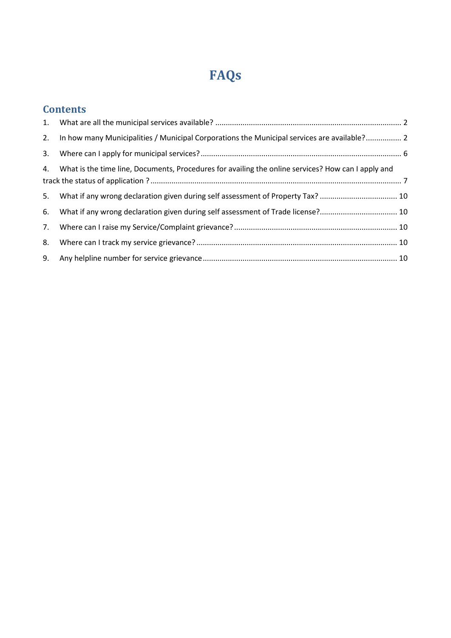# **FAQs**

## **Contents**

|    | 2. In how many Municipalities / Municipal Corporations the Municipal services are available? 2        |  |
|----|-------------------------------------------------------------------------------------------------------|--|
|    |                                                                                                       |  |
|    | 4. What is the time line, Documents, Procedures for availing the online services? How can I apply and |  |
|    | 5. What if any wrong declaration given during self assessment of Property Tax?  10                    |  |
| 6. | What if any wrong declaration given during self assessment of Trade license? 10                       |  |
| 7. |                                                                                                       |  |
| 8. |                                                                                                       |  |
|    |                                                                                                       |  |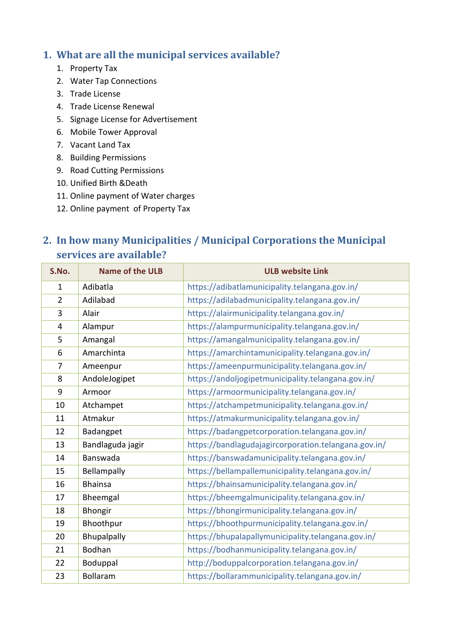#### <span id="page-1-0"></span>**1. What are all the municipal services available?**

- 1. Property Tax
- 2. Water Tap Connections
- 3. Trade License
- 4. Trade License Renewal
- 5. Signage License for Advertisement
- 6. Mobile Tower Approval
- 7. Vacant Land Tax
- 8. Building Permissions
- 9. Road Cutting Permissions
- 10. Unified Birth &Death
- 11. Online payment of Water charges
- 12. Online payment of Property Tax

## <span id="page-1-1"></span>**2. In how many Municipalities / Municipal Corporations the Municipal services are available?**

| S.No.          | <b>Name of the ULB</b> | <b>ULB website Link</b>                              |  |  |  |
|----------------|------------------------|------------------------------------------------------|--|--|--|
| $\mathbf{1}$   | Adibatla               | https://adibatlamunicipality.telangana.gov.in/       |  |  |  |
| $\overline{2}$ | Adilabad               | https://adilabadmunicipality.telangana.gov.in/       |  |  |  |
| 3              | Alair                  | https://alairmunicipality.telangana.gov.in/          |  |  |  |
| 4              | Alampur                | https://alampurmunicipality.telangana.gov.in/        |  |  |  |
| 5              | Amangal                | https://amangalmunicipality.telangana.gov.in/        |  |  |  |
| 6              | Amarchinta             | https://amarchintamunicipality.telangana.gov.in/     |  |  |  |
| $\overline{7}$ | Ameenpur               | https://ameenpurmunicipality.telangana.gov.in/       |  |  |  |
| 8              | AndoleJogipet          | https://andoljogipetmunicipality.telangana.gov.in/   |  |  |  |
| 9              | Armoor                 | https://armoormunicipality.telangana.gov.in/         |  |  |  |
| 10             | Atchampet              | https://atchampetmunicipality.telangana.gov.in/      |  |  |  |
| 11             | Atmakur                | https://atmakurmunicipality.telangana.gov.in/        |  |  |  |
| 12             | Badangpet              | https://badangpetcorporation.telangana.gov.in/       |  |  |  |
| 13             | Bandlaguda jagir       | https://bandlagudajagircorporation.telangana.gov.in/ |  |  |  |
| 14             | Banswada               | https://banswadamunicipality.telangana.gov.in/       |  |  |  |
| 15             | Bellampally            | https://bellampallemunicipality.telangana.gov.in/    |  |  |  |
| 16             | <b>Bhainsa</b>         | https://bhainsamunicipality.telangana.gov.in/        |  |  |  |
| 17             | Bheemgal               | https://bheemgalmunicipality.telangana.gov.in/       |  |  |  |
| 18             | Bhongir                | https://bhongirmunicipality.telangana.gov.in/        |  |  |  |
| 19             | Bhoothpur              | https://bhoothpurmunicipality.telangana.gov.in/      |  |  |  |
| 20             | Bhupalpally            | https://bhupalapallymunicipality.telangana.gov.in/   |  |  |  |
| 21             | Bodhan                 | https://bodhanmunicipality.telangana.gov.in/         |  |  |  |
| 22             | Boduppal               | http://boduppalcorporation.telangana.gov.in/         |  |  |  |
| 23             | Bollaram               | https://bollarammunicipality.telangana.gov.in/       |  |  |  |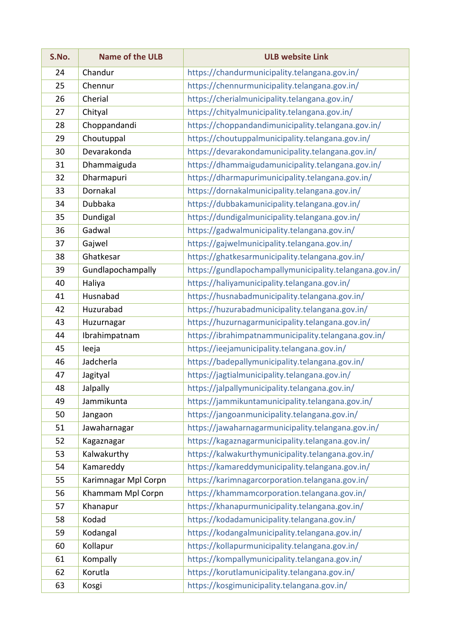| S.No. | <b>Name of the ULB</b> | <b>ULB website Link</b>                                 |  |  |  |
|-------|------------------------|---------------------------------------------------------|--|--|--|
| 24    | Chandur                | https://chandurmunicipality.telangana.gov.in/           |  |  |  |
| 25    | Chennur                | https://chennurmunicipality.telangana.gov.in/           |  |  |  |
| 26    | Cherial                | https://cherialmunicipality.telangana.gov.in/           |  |  |  |
| 27    | Chityal                | https://chityalmunicipality.telangana.gov.in/           |  |  |  |
| 28    | Choppandandi           | https://choppandandimunicipality.telangana.gov.in/      |  |  |  |
| 29    | Choutuppal             | https://choutuppalmunicipality.telangana.gov.in/        |  |  |  |
| 30    | Devarakonda            | https://devarakondamunicipality.telangana.gov.in/       |  |  |  |
| 31    | Dhammaiguda            | https://dhammaigudamunicipality.telangana.gov.in/       |  |  |  |
| 32    | Dharmapuri             | https://dharmapurimunicipality.telangana.gov.in/        |  |  |  |
| 33    | Dornakal               | https://dornakalmunicipality.telangana.gov.in/          |  |  |  |
| 34    | Dubbaka                | https://dubbakamunicipality.telangana.gov.in/           |  |  |  |
| 35    | Dundigal               | https://dundigalmunicipality.telangana.gov.in/          |  |  |  |
| 36    | Gadwal                 | https://gadwalmunicipality.telangana.gov.in/            |  |  |  |
| 37    | Gajwel                 | https://gajwelmunicipality.telangana.gov.in/            |  |  |  |
| 38    | Ghatkesar              | https://ghatkesarmunicipality.telangana.gov.in/         |  |  |  |
| 39    | Gundlapochampally      | https://gundlapochampallymunicipality.telangana.gov.in/ |  |  |  |
| 40    | Haliya                 | https://haliyamunicipality.telangana.gov.in/            |  |  |  |
| 41    | Husnabad               | https://husnabadmunicipality.telangana.gov.in/          |  |  |  |
| 42    | Huzurabad              | https://huzurabadmunicipality.telangana.gov.in/         |  |  |  |
| 43    | Huzurnagar             | https://huzurnagarmunicipality.telangana.gov.in/        |  |  |  |
| 44    | Ibrahimpatnam          | https://ibrahimpatnammunicipality.telangana.gov.in/     |  |  |  |
| 45    | leeja                  | https://ieejamunicipality.telangana.gov.in/             |  |  |  |
| 46    | Jadcherla              | https://badepallymunicipality.telangana.gov.in/         |  |  |  |
| 47    | Jagityal               | https://jagtialmunicipality.telangana.gov.in/           |  |  |  |
| 48    | Jalpally               | https://jalpallymunicipality.telangana.gov.in/          |  |  |  |
| 49    | Jammikunta             | https://jammikuntamunicipality.telangana.gov.in/        |  |  |  |
| 50    | Jangaon                | https://jangoanmunicipality.telangana.gov.in/           |  |  |  |
| 51    | Jawaharnagar           | https://jawaharnagarmunicipality.telangana.gov.in/      |  |  |  |
| 52    | Kagaznagar             | https://kagaznagarmunicipality.telangana.gov.in/        |  |  |  |
| 53    | Kalwakurthy            | https://kalwakurthymunicipality.telangana.gov.in/       |  |  |  |
| 54    | Kamareddy              | https://kamareddymunicipality.telangana.gov.in/         |  |  |  |
| 55    | Karimnagar Mpl Corpn   | https://karimnagarcorporation.telangana.gov.in/         |  |  |  |
| 56    | Khammam Mpl Corpn      | https://khammamcorporation.telangana.gov.in/            |  |  |  |
| 57    | Khanapur               | https://khanapurmunicipality.telangana.gov.in/          |  |  |  |
| 58    | Kodad                  | https://kodadamunicipality.telangana.gov.in/            |  |  |  |
| 59    | Kodangal               | https://kodangalmunicipality.telangana.gov.in/          |  |  |  |
| 60    | Kollapur               | https://kollapurmunicipality.telangana.gov.in/          |  |  |  |
| 61    | Kompally               | https://kompallymunicipality.telangana.gov.in/          |  |  |  |
| 62    | Korutla                | https://korutlamunicipality.telangana.gov.in/           |  |  |  |
| 63    | Kosgi                  | https://kosgimunicipality.telangana.gov.in/             |  |  |  |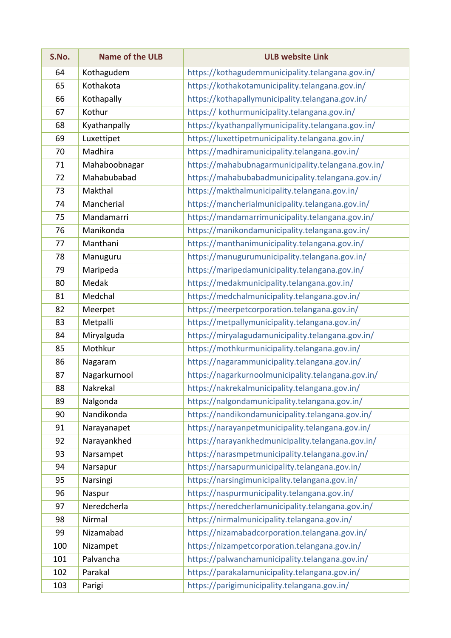| S.No. | <b>Name of the ULB</b> | <b>ULB website Link</b>                            |  |  |  |
|-------|------------------------|----------------------------------------------------|--|--|--|
| 64    | Kothagudem             | https://kothagudemmunicipality.telangana.gov.in/   |  |  |  |
| 65    | Kothakota              | https://kothakotamunicipality.telangana.gov.in/    |  |  |  |
| 66    | Kothapally             | https://kothapallymunicipality.telangana.gov.in/   |  |  |  |
| 67    | Kothur                 | https:// kothurmunicipality.telangana.gov.in/      |  |  |  |
| 68    | Kyathanpally           | https://kyathanpallymunicipality.telangana.gov.in/ |  |  |  |
| 69    | Luxettipet             | https://luxettipetmunicipality.telangana.gov.in/   |  |  |  |
| 70    | Madhira                | https://madhiramunicipality.telangana.gov.in/      |  |  |  |
| 71    | Mahaboobnagar          | https://mahabubnagarmunicipality.telangana.gov.in/ |  |  |  |
| 72    | Mahabubabad            | https://mahabubabadmunicipality.telangana.gov.in/  |  |  |  |
| 73    | Makthal                | https://makthalmunicipality.telangana.gov.in/      |  |  |  |
| 74    | Mancherial             | https://mancherialmunicipality.telangana.gov.in/   |  |  |  |
| 75    | Mandamarri             | https://mandamarrimunicipality.telangana.gov.in/   |  |  |  |
| 76    | Manikonda              | https://manikondamunicipality.telangana.gov.in/    |  |  |  |
| 77    | Manthani               | https://manthanimunicipality.telangana.gov.in/     |  |  |  |
| 78    | Manuguru               | https://manugurumunicipality.telangana.gov.in/     |  |  |  |
| 79    | Maripeda               | https://maripedamunicipality.telangana.gov.in/     |  |  |  |
| 80    | Medak                  | https://medakmunicipality.telangana.gov.in/        |  |  |  |
| 81    | Medchal                | https://medchalmunicipality.telangana.gov.in/      |  |  |  |
| 82    | Meerpet                | https://meerpetcorporation.telangana.gov.in/       |  |  |  |
| 83    | Metpalli               | https://metpallymunicipality.telangana.gov.in/     |  |  |  |
| 84    | Miryalguda             | https://miryalagudamunicipality.telangana.gov.in/  |  |  |  |
| 85    | Mothkur                | https://mothkurmunicipality.telangana.gov.in/      |  |  |  |
| 86    | Nagaram                | https://nagarammunicipality.telangana.gov.in/      |  |  |  |
| 87    | Nagarkurnool           | https://nagarkurnoolmunicipality.telangana.gov.in/ |  |  |  |
| 88    | Nakrekal               | https://nakrekalmunicipality.telangana.gov.in/     |  |  |  |
| 89    | Nalgonda               | https://nalgondamunicipality.telangana.gov.in/     |  |  |  |
| 90    | Nandikonda             | https://nandikondamunicipality.telangana.gov.in/   |  |  |  |
| 91    | Narayanapet            | https://narayanpetmunicipality.telangana.gov.in/   |  |  |  |
| 92    | Narayankhed            | https://narayankhedmunicipality.telangana.gov.in/  |  |  |  |
| 93    | Narsampet              | https://narasmpetmunicipality.telangana.gov.in/    |  |  |  |
| 94    | Narsapur               | https://narsapurmunicipality.telangana.gov.in/     |  |  |  |
| 95    | Narsingi               | https://narsingimunicipality.telangana.gov.in/     |  |  |  |
| 96    | Naspur                 | https://naspurmunicipality.telangana.gov.in/       |  |  |  |
| 97    | Neredcherla            | https://neredcherlamunicipality.telangana.gov.in/  |  |  |  |
| 98    | Nirmal                 | https://nirmalmunicipality.telangana.gov.in/       |  |  |  |
| 99    | Nizamabad              | https://nizamabadcorporation.telangana.gov.in/     |  |  |  |
| 100   | Nizampet               | https://nizampetcorporation.telangana.gov.in/      |  |  |  |
| 101   | Palvancha              | https://palwanchamunicipality.telangana.gov.in/    |  |  |  |
| 102   | Parakal                | https://parakalamunicipality.telangana.gov.in/     |  |  |  |
| 103   | Parigi                 | https://parigimunicipality.telangana.gov.in/       |  |  |  |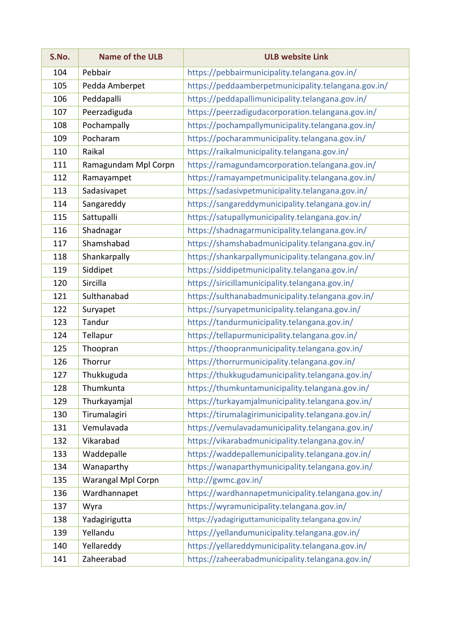| S.No. | <b>Name of the ULB</b> | <b>ULB website Link</b>                             |  |  |  |
|-------|------------------------|-----------------------------------------------------|--|--|--|
| 104   | Pebbair                | https://pebbairmunicipality.telangana.gov.in/       |  |  |  |
| 105   | Pedda Amberpet         | https://peddaamberpetmunicipality.telangana.gov.in/ |  |  |  |
| 106   | Peddapalli             | https://peddapallimunicipality.telangana.gov.in/    |  |  |  |
| 107   | Peerzadiguda           | https://peerzadigudacorporation.telangana.gov.in/   |  |  |  |
| 108   | Pochampally            | https://pochampallymunicipality.telangana.gov.in/   |  |  |  |
| 109   | Pocharam               | https://pocharammunicipality.telangana.gov.in/      |  |  |  |
| 110   | Raikal                 | https://raikalmunicipality.telangana.gov.in/        |  |  |  |
| 111   | Ramagundam Mpl Corpn   | https://ramagundamcorporation.telangana.gov.in/     |  |  |  |
| 112   | Ramayampet             | https://ramayampetmunicipality.telangana.gov.in/    |  |  |  |
| 113   | Sadasivapet            | https://sadasivpetmunicipality.telangana.gov.in/    |  |  |  |
| 114   | Sangareddy             | https://sangareddymunicipality.telangana.gov.in/    |  |  |  |
| 115   | Sattupalli             | https://satupallymunicipality.telangana.gov.in/     |  |  |  |
| 116   | Shadnagar              | https://shadnagarmunicipality.telangana.gov.in/     |  |  |  |
| 117   | Shamshabad             | https://shamshabadmunicipality.telangana.gov.in/    |  |  |  |
| 118   | Shankarpally           | https://shankarpallymunicipality.telangana.gov.in/  |  |  |  |
| 119   | Siddipet               | https://siddipetmunicipality.telangana.gov.in/      |  |  |  |
| 120   | Sircilla               | https://siricillamunicipality.telangana.gov.in/     |  |  |  |
| 121   | Sulthanabad            | https://sulthanabadmunicipality.telangana.gov.in/   |  |  |  |
| 122   | Suryapet               | https://suryapetmunicipality.telangana.gov.in/      |  |  |  |
| 123   | Tandur                 | https://tandurmunicipality.telangana.gov.in/        |  |  |  |
| 124   | Tellapur               | https://tellapurmunicipality.telangana.gov.in/      |  |  |  |
| 125   | Thoopran               | https://thoopranmunicipality.telangana.gov.in/      |  |  |  |
| 126   | Thorrur                | https://thorrurmunicipality.telangana.gov.in/       |  |  |  |
| 127   | Thukkuguda             | https://thukkugudamunicipality.telangana.gov.in/    |  |  |  |
| 128   | Thumkunta              | https://thumkuntamunicipality.telangana.gov.in/     |  |  |  |
| 129   | Thurkayamjal           | https://turkayamjalmunicipality.telangana.gov.in/   |  |  |  |
| 130   | Tirumalagiri           | https://tirumalagirimunicipality.telangana.gov.in/  |  |  |  |
| 131   | Vemulavada             | https://vemulavadamunicipality.telangana.gov.in/    |  |  |  |
| 132   | Vikarabad              | https://vikarabadmunicipality.telangana.gov.in/     |  |  |  |
| 133   | Waddepalle             | https://waddepallemunicipality.telangana.gov.in/    |  |  |  |
| 134   | Wanaparthy             | https://wanaparthymunicipality.telangana.gov.in/    |  |  |  |
| 135   | Warangal Mpl Corpn     | http://gwmc.gov.in/                                 |  |  |  |
| 136   | Wardhannapet           | https://wardhannapetmunicipality.telangana.gov.in/  |  |  |  |
| 137   | Wyra                   | https://wyramunicipality.telangana.gov.in/          |  |  |  |
| 138   | Yadagirigutta          | https://yadagiriguttamunicipality.telangana.gov.in/ |  |  |  |
| 139   | Yellandu               | https://yellandumunicipality.telangana.gov.in/      |  |  |  |
| 140   | Yellareddy             | https://yellareddymunicipality.telangana.gov.in/    |  |  |  |
| 141   | Zaheerabad             | https://zaheerabadmunicipality.telangana.gov.in/    |  |  |  |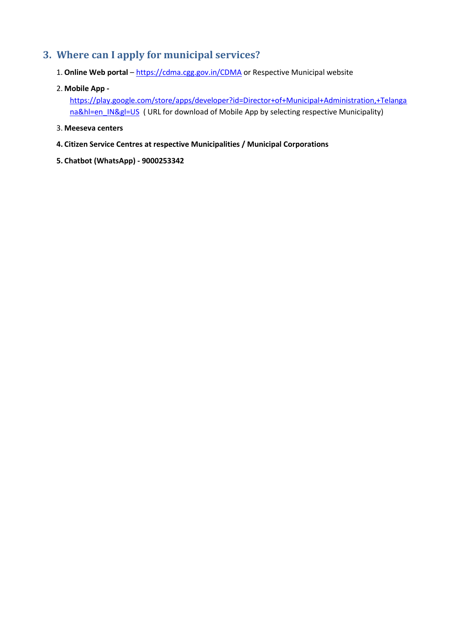#### <span id="page-5-0"></span>**3. Where can I apply for municipal services?**

- 1. **Online Web portal** <https://cdma.cgg.gov.in/CDMA> or Respective Municipal website
- 2. **Mobile App -**

[https://play.google.com/store/apps/developer?id=Director+of+Municipal+Administration,+Telanga](https://play.google.com/store/apps/developer?id=Director+of+Municipal+Administration,+Telangana&hl=en_IN&gl=US) [na&hl=en\\_IN&gl=US](https://play.google.com/store/apps/developer?id=Director+of+Municipal+Administration,+Telangana&hl=en_IN&gl=US) ( URL for download of Mobile App by selecting respective Municipality)

- 3. **Meeseva centers**
- **4. Citizen Service Centres at respective Municipalities / Municipal Corporations**
- **5. Chatbot (WhatsApp) - 9000253342**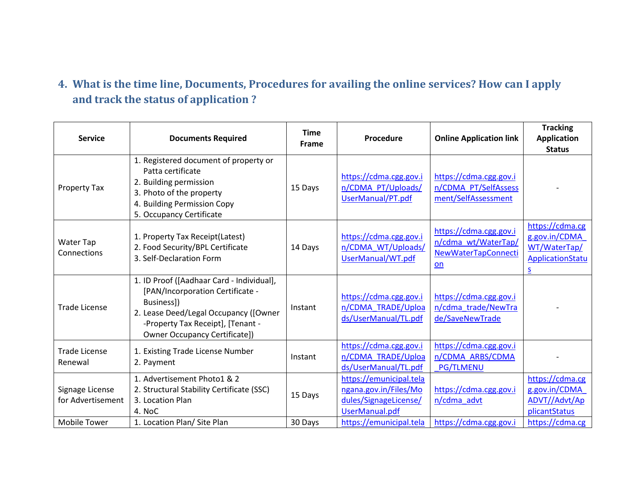## **4. What is the time line, Documents, Procedures for availing the online services? How can I apply and track the status of application ?**

<span id="page-6-0"></span>

| <b>Service</b>                       | <b>Documents Required</b>                                                                                                                                                                                         | <b>Time</b><br><b>Frame</b> | Procedure                                                                                   | <b>Online Application link</b>                                               | <b>Tracking</b><br><b>Application</b><br><b>Status</b>                    |
|--------------------------------------|-------------------------------------------------------------------------------------------------------------------------------------------------------------------------------------------------------------------|-----------------------------|---------------------------------------------------------------------------------------------|------------------------------------------------------------------------------|---------------------------------------------------------------------------|
| Property Tax                         | 1. Registered document of property or<br>Patta certificate<br>2. Building permission<br>3. Photo of the property<br>4. Building Permission Copy<br>5. Occupancy Certificate                                       | 15 Days                     | https://cdma.cgg.gov.i<br>n/CDMA PT/Uploads/<br>UserManual/PT.pdf                           | https://cdma.cgg.gov.i<br>n/CDMA PT/SelfAssess<br>ment/SelfAssessment        |                                                                           |
| Water Tap<br>Connections             | 1. Property Tax Receipt(Latest)<br>2. Food Security/BPL Certificate<br>3. Self-Declaration Form                                                                                                                   | 14 Days                     | https://cdma.cgg.gov.i<br>n/CDMA WT/Uploads/<br>UserManual/WT.pdf                           | https://cdma.cgg.gov.i<br>n/cdma wt/WaterTap/<br>NewWaterTapConnecti<br>$on$ | https://cdma.cg<br>g.gov.in/CDMA<br>WT/WaterTap/<br>ApplicationStatu<br>S |
| <b>Trade License</b>                 | 1. ID Proof ([Aadhaar Card - Individual],<br>[PAN/Incorporation Certificate -<br>Business])<br>2. Lease Deed/Legal Occupancy ([Owner<br>-Property Tax Receipt], [Tenant -<br><b>Owner Occupancy Certificate])</b> | Instant                     | https://cdma.cgg.gov.i<br>n/CDMA TRADE/Uploa<br>ds/UserManual/TL.pdf                        | https://cdma.cgg.gov.i<br>n/cdma_trade/NewTra<br>de/SaveNewTrade             |                                                                           |
| <b>Trade License</b><br>Renewal      | 1. Existing Trade License Number<br>2. Payment                                                                                                                                                                    | Instant                     | https://cdma.cgg.gov.i<br>n/CDMA TRADE/Uploa<br>ds/UserManual/TL.pdf                        | https://cdma.cgg.gov.i<br>n/CDMA ARBS/CDMA<br><b>PG/TLMENU</b>               |                                                                           |
| Signage License<br>for Advertisement | 1. Advertisement Photo1 & 2<br>2. Structural Stability Certificate (SSC)<br>3. Location Plan<br>4. NoC                                                                                                            | 15 Days                     | https://emunicipal.tela<br>ngana.gov.in/Files/Mo<br>dules/SignageLicense/<br>UserManual.pdf | https://cdma.cgg.gov.i<br>n/cdma advt                                        | https://cdma.cg<br>g.gov.in/CDMA<br>ADVT//Advt/Ap<br>plicantStatus        |
| <b>Mobile Tower</b>                  | 1. Location Plan/ Site Plan                                                                                                                                                                                       | 30 Days                     | https://emunicipal.tela                                                                     | https://cdma.cgg.gov.i                                                       | https://cdma.cg                                                           |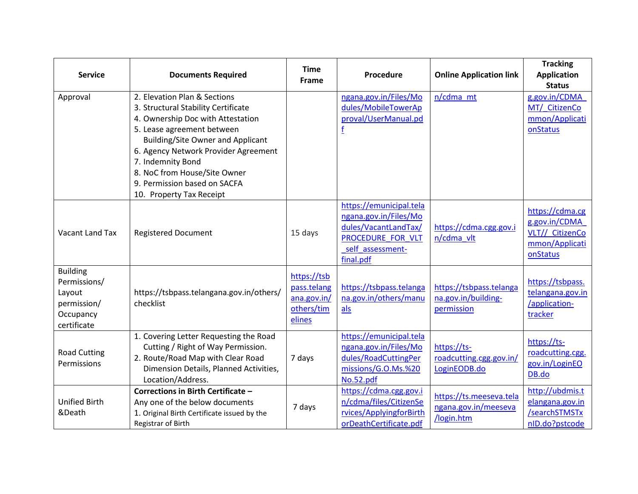| <b>Service</b>                                                                       | <b>Documents Required</b>                                                                                                                                                                                                                                                                                                                   | <b>Time</b><br>Frame                                              | <b>Procedure</b>                                                                                                               | <b>Online Application link</b>                                | <b>Tracking</b><br><b>Application</b><br><b>Status</b>                            |
|--------------------------------------------------------------------------------------|---------------------------------------------------------------------------------------------------------------------------------------------------------------------------------------------------------------------------------------------------------------------------------------------------------------------------------------------|-------------------------------------------------------------------|--------------------------------------------------------------------------------------------------------------------------------|---------------------------------------------------------------|-----------------------------------------------------------------------------------|
| Approval                                                                             | 2. Elevation Plan & Sections<br>3. Structural Stability Certificate<br>4. Ownership Doc with Attestation<br>5. Lease agreement between<br><b>Building/Site Owner and Applicant</b><br>6. Agency Network Provider Agreement<br>7. Indemnity Bond<br>8. NoC from House/Site Owner<br>9. Permission based on SACFA<br>10. Property Tax Receipt |                                                                   | ngana.gov.in/Files/Mo<br>dules/MobileTowerAp<br>proval/UserManual.pd                                                           | n/cdma mt                                                     | g.gov.in/CDMA<br>MT/ CitizenCo<br>mmon/Applicati<br>onStatus                      |
| Vacant Land Tax                                                                      | <b>Registered Document</b>                                                                                                                                                                                                                                                                                                                  | 15 days                                                           | https://emunicipal.tela<br>ngana.gov.in/Files/Mo<br>dules/VacantLandTax/<br>PROCEDURE FOR VLT<br>self assessment-<br>final.pdf | https://cdma.cgg.gov.i<br>n/cdma vlt                          | https://cdma.cg<br>g.gov.in/CDMA<br>VLT// CitizenCo<br>mmon/Applicati<br>onStatus |
| <b>Building</b><br>Permissions/<br>Layout<br>permission/<br>Occupancy<br>certificate | https://tsbpass.telangana.gov.in/others/<br>checklist                                                                                                                                                                                                                                                                                       | https://tsb<br>pass.telang<br>ana.gov.in/<br>others/tim<br>elines | https://tsbpass.telanga<br>na.gov.in/others/manu<br>als                                                                        | https://tsbpass.telanga<br>na.gov.in/building-<br>permission  | https://tsbpass.<br>telangana.gov.in<br>/application-<br>tracker                  |
| <b>Road Cutting</b><br>Permissions                                                   | 1. Covering Letter Requesting the Road<br>Cutting / Right of Way Permission.<br>2. Route/Road Map with Clear Road<br>Dimension Details, Planned Activities,<br>Location/Address.                                                                                                                                                            | 7 days                                                            | https://emunicipal.tela<br>ngana.gov.in/Files/Mo<br>dules/RoadCuttingPer<br>missions/G.O.Ms.%20<br>No.52.pdf                   | https://ts-<br>roadcutting.cgg.gov.in/<br>LoginEODB.do        | https://ts-<br>roadcutting.cgg.<br>gov.in/LoginEO<br>DB.do                        |
| <b>Unified Birth</b><br>&Death                                                       | Corrections in Birth Certificate -<br>Any one of the below documents<br>1. Original Birth Certificate issued by the<br>Registrar of Birth                                                                                                                                                                                                   | 7 days                                                            | https://cdma.cgg.gov.i<br>n/cdma/files/CitizenSe<br>rvices/ApplyingforBirth<br>orDeathCertificate.pdf                          | https://ts.meeseva.tela<br>ngana.gov.in/meeseva<br>/login.htm | http://ubdmis.t<br>elangana.gov.in<br>/searchSTMSTx<br>nID.do?pstcode             |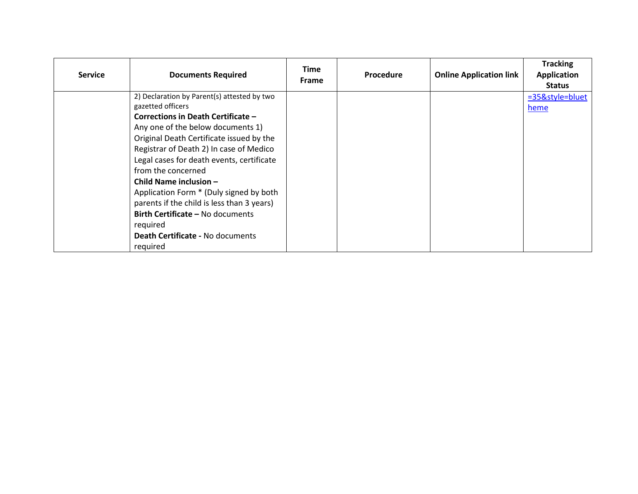| <b>Service</b> | <b>Documents Required</b>                                                                                                                                                                                                                                                                                                                                                                                                                                   | <b>Time</b><br><b>Frame</b> | <b>Procedure</b> | <b>Online Application link</b> | <b>Tracking</b><br>Application<br><b>Status</b> |
|----------------|-------------------------------------------------------------------------------------------------------------------------------------------------------------------------------------------------------------------------------------------------------------------------------------------------------------------------------------------------------------------------------------------------------------------------------------------------------------|-----------------------------|------------------|--------------------------------|-------------------------------------------------|
|                | 2) Declaration by Parent(s) attested by two<br>gazetted officers                                                                                                                                                                                                                                                                                                                                                                                            |                             |                  |                                | =35&style=bluet<br>heme                         |
|                | Corrections in Death Certificate -<br>Any one of the below documents 1)<br>Original Death Certificate issued by the<br>Registrar of Death 2) In case of Medico<br>Legal cases for death events, certificate<br>from the concerned<br>Child Name inclusion -<br>Application Form * (Duly signed by both<br>parents if the child is less than 3 years)<br><b>Birth Certificate - No documents</b><br>required<br>Death Certificate - No documents<br>reguired |                             |                  |                                |                                                 |